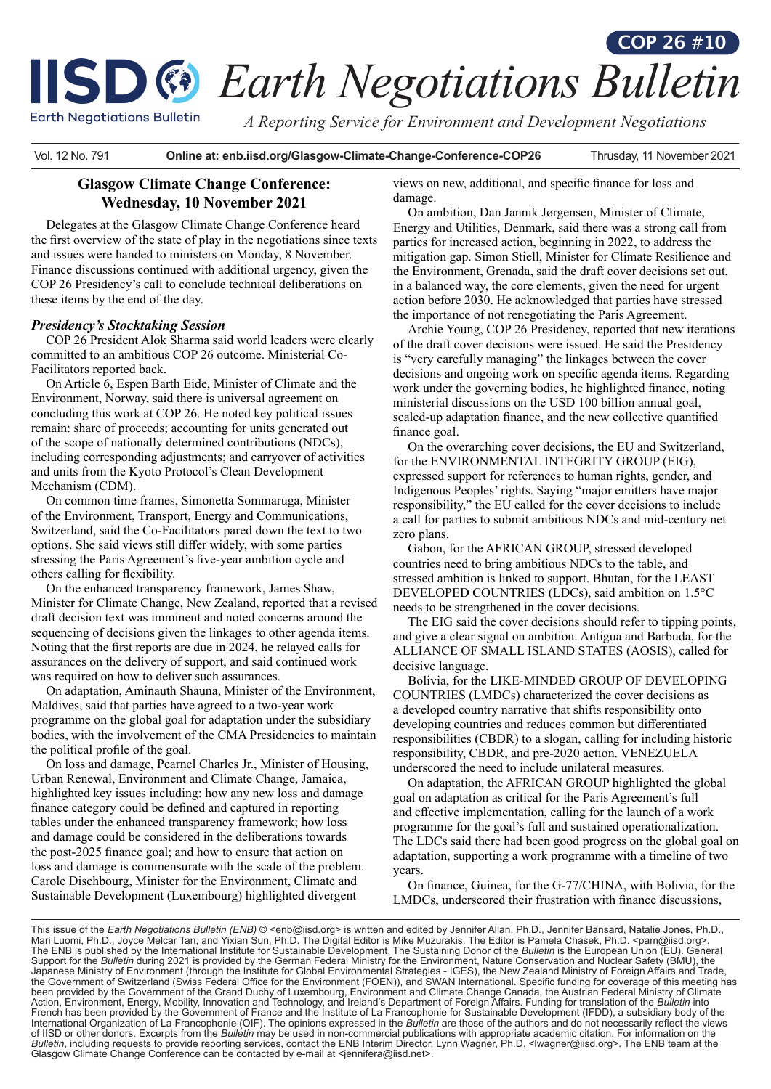# **ISD @ Earth Negotiations Bulletin COP 26 #10**

**Earth Negotiations Bulletin** 

*A Reporting Service for Environment and Development Negotiations*

Vol. 12 No. 791 **Online at: enb.iisd.org/Glasgow-Climate-Change-Conference-COP26** Thrusday, 11 November 2021

## **Glasgow Climate Change Conference: Wednesday, 10 November 2021**

Delegates at the Glasgow Climate Change Conference heard the first overview of the state of play in the negotiations since texts and issues were handed to ministers on Monday, 8 November. Finance discussions continued with additional urgency, given the COP 26 Presidency's call to conclude technical deliberations on these items by the end of the day.

## *Presidency's Stocktaking Session*

COP 26 President Alok Sharma said world leaders were clearly committed to an ambitious COP 26 outcome. Ministerial Co-Facilitators reported back.

On Article 6, Espen Barth Eide, Minister of Climate and the Environment, Norway, said there is universal agreement on concluding this work at COP 26. He noted key political issues remain: share of proceeds; accounting for units generated out of the scope of nationally determined contributions (NDCs), including corresponding adjustments; and carryover of activities and units from the Kyoto Protocol's Clean Development Mechanism (CDM).

On common time frames, Simonetta Sommaruga, Minister of the Environment, Transport, Energy and Communications, Switzerland, said the Co-Facilitators pared down the text to two options. She said views still differ widely, with some parties stressing the Paris Agreement's five-year ambition cycle and others calling for flexibility.

On the enhanced transparency framework, James Shaw, Minister for Climate Change, New Zealand, reported that a revised draft decision text was imminent and noted concerns around the sequencing of decisions given the linkages to other agenda items. Noting that the first reports are due in 2024, he relayed calls for assurances on the delivery of support, and said continued work was required on how to deliver such assurances.

On adaptation, Aminauth Shauna, Minister of the Environment, Maldives, said that parties have agreed to a two-year work programme on the global goal for adaptation under the subsidiary bodies, with the involvement of the CMA Presidencies to maintain the political profile of the goal.

On loss and damage, Pearnel Charles Jr., Minister of Housing, Urban Renewal, Environment and Climate Change, Jamaica, highlighted key issues including: how any new loss and damage finance category could be defined and captured in reporting tables under the enhanced transparency framework; how loss and damage could be considered in the deliberations towards the post-2025 finance goal; and how to ensure that action on loss and damage is commensurate with the scale of the problem. Carole Dischbourg, Minister for the Environment, Climate and Sustainable Development (Luxembourg) highlighted divergent

views on new, additional, and specific finance for loss and damage.

On ambition, Dan Jannik Jørgensen, Minister of Climate, Energy and Utilities, Denmark, said there was a strong call from parties for increased action, beginning in 2022, to address the mitigation gap. Simon Stiell, Minister for Climate Resilience and the Environment, Grenada, said the draft cover decisions set out, in a balanced way, the core elements, given the need for urgent action before 2030. He acknowledged that parties have stressed the importance of not renegotiating the Paris Agreement.

Archie Young, COP 26 Presidency, reported that new iterations of the draft cover decisions were issued. He said the Presidency is "very carefully managing" the linkages between the cover decisions and ongoing work on specific agenda items. Regarding work under the governing bodies, he highlighted finance, noting ministerial discussions on the USD 100 billion annual goal, scaled-up adaptation finance, and the new collective quantified finance goal.

On the overarching cover decisions, the EU and Switzerland, for the ENVIRONMENTAL INTEGRITY GROUP (EIG), expressed support for references to human rights, gender, and Indigenous Peoples' rights. Saying "major emitters have major responsibility," the EU called for the cover decisions to include a call for parties to submit ambitious NDCs and mid-century net zero plans.

Gabon, for the AFRICAN GROUP, stressed developed countries need to bring ambitious NDCs to the table, and stressed ambition is linked to support. Bhutan, for the LEAST DEVELOPED COUNTRIES (LDCs), said ambition on 1.5°C needs to be strengthened in the cover decisions.

The EIG said the cover decisions should refer to tipping points, and give a clear signal on ambition. Antigua and Barbuda, for the ALLIANCE OF SMALL ISLAND STATES (AOSIS), called for decisive language.

Bolivia, for the LIKE-MINDED GROUP OF DEVELOPING COUNTRIES (LMDCs) characterized the cover decisions as a developed country narrative that shifts responsibility onto developing countries and reduces common but differentiated responsibilities (CBDR) to a slogan, calling for including historic responsibility, CBDR, and pre-2020 action. VENEZUELA underscored the need to include unilateral measures.

On adaptation, the AFRICAN GROUP highlighted the global goal on adaptation as critical for the Paris Agreement's full and effective implementation, calling for the launch of a work programme for the goal's full and sustained operationalization. The LDCs said there had been good progress on the global goal on adaptation, supporting a work programme with a timeline of two years.

On finance, Guinea, for the G-77/CHINA, with Bolivia, for the LMDCs, underscored their frustration with finance discussions,

This issue of the *Earth Negotiations Bulletin (ENB)* © <enb@iisd.org> is written and edited by Jennifer Allan, Ph.D., Jennifer Bansard, Natalie Jones, Ph.D.,<br>Mari Luomi, Ph.D., Joyce Melcar Tan, and Yixian Sun, Ph.D. The The ENB is published by the International Institute for Sustainable Development. The Sustaining Donor of the *Bulletin* is the European Union (EU). General Support for the *Bulletin* during 2021 is provided by the German Federal Ministry for the Environment, Nature Conservation and Nuclear Safety (BMU), the<br>Japanese Ministry of Environment (through the Institute for Global En the Government of Switzerland (Swiss Federal Office for the Environment (FOEN)), and SWAN International. Specific funding for coverage of this meeting has been provided by the Government of the Grand Duchy of Luxembourg, Environment and Climate Change Canada, the Austrian Federal Ministry of Climate Action, Environment, Energy, Mobility, Innovation and Technology, and Ireland's Department of Foreign Affairs. Funding for translation of the *Bulletin* into<br>French has been provided by the Government of France and the Ins International Organization of La Francophonie (OIF). The opinions expressed in the *Bulletin* are those of the authors and do not necessarily reflect the views of IISD or other donors. Excerpts from the *Bulletin* may be used in non-commercial publications with appropriate academic citation. For information on the *Bulletin*, including requests to provide reporting services, contact the ENB Interim Director, Lynn Wagner, Ph.D. <lwagner@iisd.org>. The ENB team at the Glasgow Climate Change Conference can be contacted by e-mail at <jennifera@iisd.net>.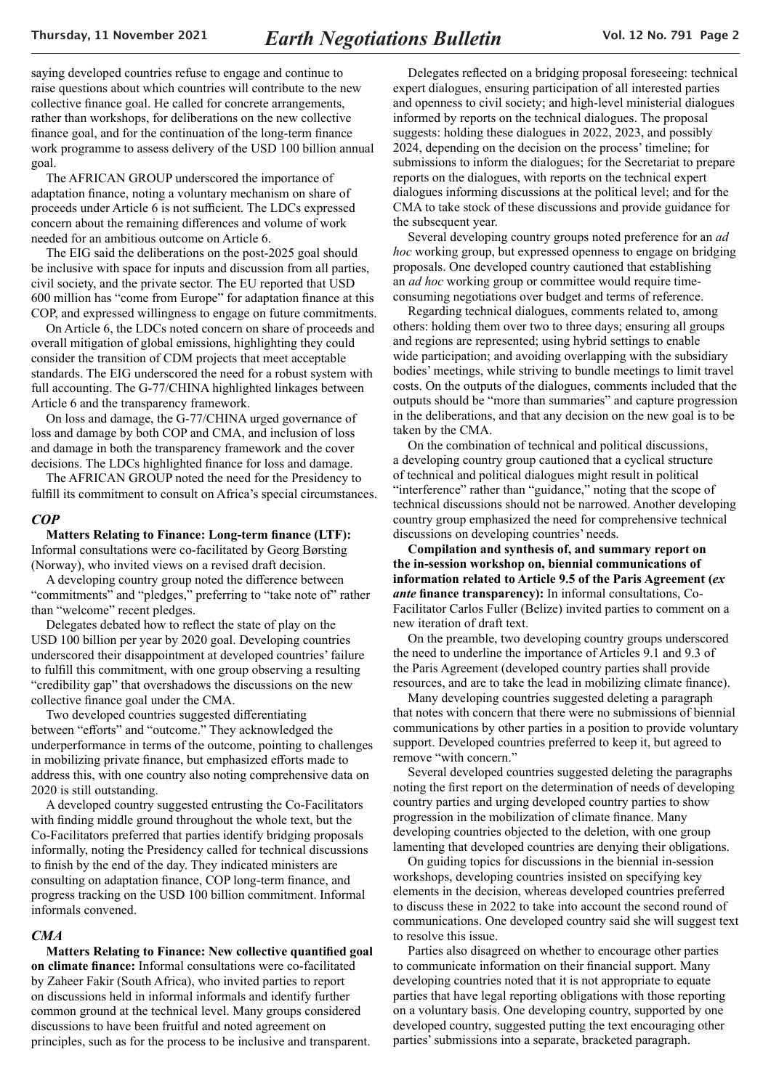saying developed countries refuse to engage and continue to raise questions about which countries will contribute to the new collective finance goal. He called for concrete arrangements, rather than workshops, for deliberations on the new collective finance goal, and for the continuation of the long-term finance work programme to assess delivery of the USD 100 billion annual goal.

The AFRICAN GROUP underscored the importance of adaptation finance, noting a voluntary mechanism on share of proceeds under Article 6 is not sufficient. The LDCs expressed concern about the remaining differences and volume of work needed for an ambitious outcome on Article 6.

The EIG said the deliberations on the post-2025 goal should be inclusive with space for inputs and discussion from all parties, civil society, and the private sector. The EU reported that USD 600 million has "come from Europe" for adaptation finance at this COP, and expressed willingness to engage on future commitments.

On Article 6, the LDCs noted concern on share of proceeds and overall mitigation of global emissions, highlighting they could consider the transition of CDM projects that meet acceptable standards. The EIG underscored the need for a robust system with full accounting. The G-77/CHINA highlighted linkages between Article 6 and the transparency framework.

On loss and damage, the G-77/CHINA urged governance of loss and damage by both COP and CMA, and inclusion of loss and damage in both the transparency framework and the cover decisions. The LDCs highlighted finance for loss and damage.

The AFRICAN GROUP noted the need for the Presidency to fulfill its commitment to consult on Africa's special circumstances.

#### *COP*

#### **Matters Relating to Finance: Long-term finance (LTF):**

Informal consultations were co-facilitated by Georg Børsting (Norway), who invited views on a revised draft decision.

A developing country group noted the difference between "commitments" and "pledges," preferring to "take note of" rather than "welcome" recent pledges.

Delegates debated how to reflect the state of play on the USD 100 billion per year by 2020 goal. Developing countries underscored their disappointment at developed countries' failure to fulfill this commitment, with one group observing a resulting "credibility gap" that overshadows the discussions on the new collective finance goal under the CMA.

Two developed countries suggested differentiating between "efforts" and "outcome." They acknowledged the underperformance in terms of the outcome, pointing to challenges in mobilizing private finance, but emphasized efforts made to address this, with one country also noting comprehensive data on 2020 is still outstanding.

A developed country suggested entrusting the Co-Facilitators with finding middle ground throughout the whole text, but the Co-Facilitators preferred that parties identify bridging proposals informally, noting the Presidency called for technical discussions to finish by the end of the day. They indicated ministers are consulting on adaptation finance, COP long-term finance, and progress tracking on the USD 100 billion commitment. Informal informals convened.

#### *CMA*

#### **Matters Relating to Finance: New collective quantified goal**

**on climate finance:** Informal consultations were co-facilitated by Zaheer Fakir (South Africa), who invited parties to report on discussions held in informal informals and identify further common ground at the technical level. Many groups considered discussions to have been fruitful and noted agreement on principles, such as for the process to be inclusive and transparent.

Delegates reflected on a bridging proposal foreseeing: technical expert dialogues, ensuring participation of all interested parties and openness to civil society; and high-level ministerial dialogues informed by reports on the technical dialogues. The proposal suggests: holding these dialogues in 2022, 2023, and possibly 2024, depending on the decision on the process' timeline; for submissions to inform the dialogues; for the Secretariat to prepare reports on the dialogues, with reports on the technical expert dialogues informing discussions at the political level; and for the CMA to take stock of these discussions and provide guidance for the subsequent year.

Several developing country groups noted preference for an *ad hoc* working group, but expressed openness to engage on bridging proposals. One developed country cautioned that establishing an *ad hoc* working group or committee would require timeconsuming negotiations over budget and terms of reference.

Regarding technical dialogues, comments related to, among others: holding them over two to three days; ensuring all groups and regions are represented; using hybrid settings to enable wide participation; and avoiding overlapping with the subsidiary bodies' meetings, while striving to bundle meetings to limit travel costs. On the outputs of the dialogues, comments included that the outputs should be "more than summaries" and capture progression in the deliberations, and that any decision on the new goal is to be taken by the CMA.

On the combination of technical and political discussions, a developing country group cautioned that a cyclical structure of technical and political dialogues might result in political "interference" rather than "guidance," noting that the scope of technical discussions should not be narrowed. Another developing country group emphasized the need for comprehensive technical discussions on developing countries' needs.

**Compilation and synthesis of, and summary report on the in-session workshop on, biennial communications of information related to Article 9.5 of the Paris Agreement (***ex ante* **finance transparency):** In informal consultations, Co-Facilitator Carlos Fuller (Belize) invited parties to comment on a new iteration of draft text.

On the preamble, two developing country groups underscored the need to underline the importance of Articles 9.1 and 9.3 of the Paris Agreement (developed country parties shall provide resources, and are to take the lead in mobilizing climate finance).

Many developing countries suggested deleting a paragraph that notes with concern that there were no submissions of biennial communications by other parties in a position to provide voluntary support. Developed countries preferred to keep it, but agreed to remove "with concern."

Several developed countries suggested deleting the paragraphs noting the first report on the determination of needs of developing country parties and urging developed country parties to show progression in the mobilization of climate finance. Many developing countries objected to the deletion, with one group lamenting that developed countries are denying their obligations.

On guiding topics for discussions in the biennial in-session workshops, developing countries insisted on specifying key elements in the decision, whereas developed countries preferred to discuss these in 2022 to take into account the second round of communications. One developed country said she will suggest text to resolve this issue.

Parties also disagreed on whether to encourage other parties to communicate information on their financial support. Many developing countries noted that it is not appropriate to equate parties that have legal reporting obligations with those reporting on a voluntary basis. One developing country, supported by one developed country, suggested putting the text encouraging other parties' submissions into a separate, bracketed paragraph.